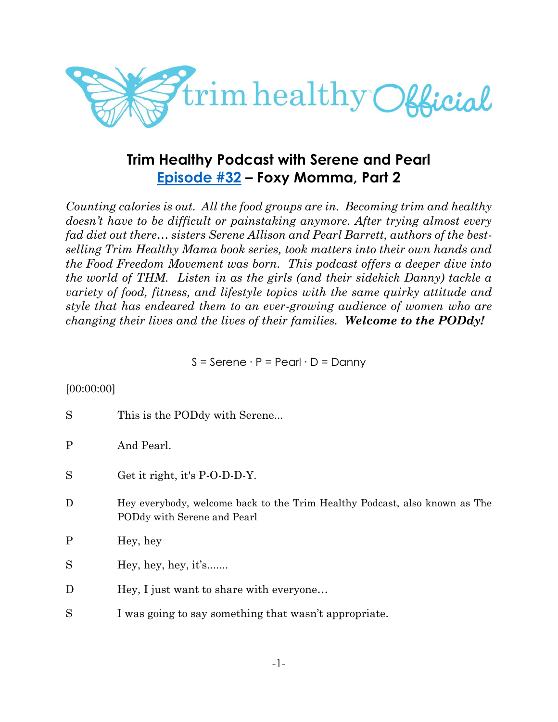

# **Trim Healthy Podcast with Serene and Pearl [Episode #32](https://cms.megaphone.fm/channel/trimhealthypodcast?selected=ADL1247735589) – Foxy Momma, Part 2**

*Counting calories is out. All the food groups are in. Becoming trim and healthy doesn't have to be difficult or painstaking anymore. After trying almost every fad diet out there… sisters Serene Allison and Pearl Barrett, authors of the bestselling Trim Healthy Mama book series, took matters into their own hands and the Food Freedom Movement was born. This podcast offers a deeper dive into the world of THM. Listen in as the girls (and their sidekick Danny) tackle a variety of food, fitness, and lifestyle topics with the same quirky attitude and style that has endeared them to an ever-growing audience of women who are changing their lives and the lives of their families. Welcome to the PODdy!*

S = Serene ∙ P = Pearl ∙ D = Danny

### [00:00:00]

| S            | This is the PODdy with Serene                                                                             |
|--------------|-----------------------------------------------------------------------------------------------------------|
| P            | And Pearl.                                                                                                |
| S            | Get it right, it's P-O-D-D-Y.                                                                             |
| D            | Hey everybody, welcome back to the Trim Healthy Podcast, also known as The<br>PODdy with Serene and Pearl |
| $\mathbf{P}$ | Hey, hey                                                                                                  |
| S            | Hey, hey, hey, it's                                                                                       |
| D            | Hey, I just want to share with everyone                                                                   |
| S            | I was going to say something that wasn't appropriate.                                                     |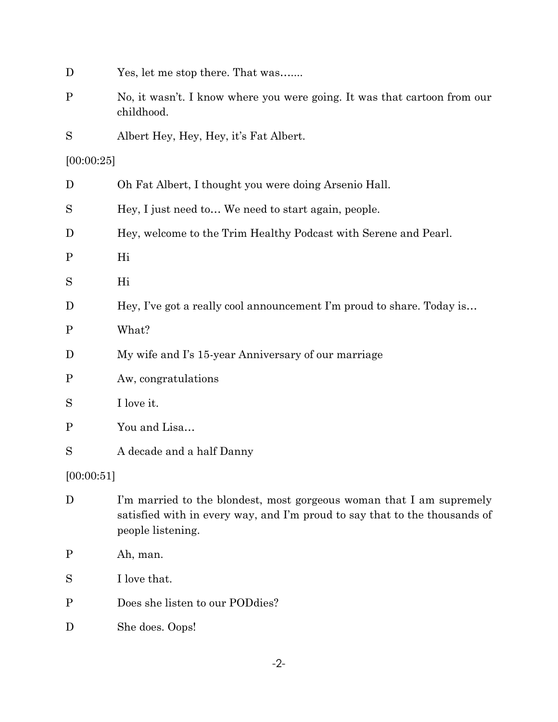| D           | Yes, let me stop there. That was                                                                                                                                        |
|-------------|-------------------------------------------------------------------------------------------------------------------------------------------------------------------------|
| $\mathbf P$ | No, it wasn't. I know where you were going. It was that cartoon from our<br>childhood.                                                                                  |
| S           | Albert Hey, Hey, Hey, it's Fat Albert.                                                                                                                                  |
| [00:00:25]  |                                                                                                                                                                         |
| D           | Oh Fat Albert, I thought you were doing Arsenio Hall.                                                                                                                   |
| S           | Hey, I just need to We need to start again, people.                                                                                                                     |
| D           | Hey, welcome to the Trim Healthy Podcast with Serene and Pearl.                                                                                                         |
| $\mathbf P$ | Hi                                                                                                                                                                      |
| S           | Hi                                                                                                                                                                      |
| D           | Hey, I've got a really cool announcement I'm proud to share. Today is                                                                                                   |
| $\mathbf P$ | What?                                                                                                                                                                   |
| D           | My wife and I's 15-year Anniversary of our marriage                                                                                                                     |
| $\mathbf P$ | Aw, congratulations                                                                                                                                                     |
| S           | I love it.                                                                                                                                                              |
| $\mathbf P$ | You and Lisa                                                                                                                                                            |
| S           | A decade and a half Danny                                                                                                                                               |
| [00:00:51]  |                                                                                                                                                                         |
| D           | I'm married to the blondest, most gorgeous woman that I am supremely<br>satisfied with in every way, and I'm proud to say that to the thousands of<br>people listening. |
| $\mathbf P$ | Ah, man.                                                                                                                                                                |
| S           | I love that.                                                                                                                                                            |
| $\mathbf P$ | Does she listen to our POD dies?                                                                                                                                        |
| D           | She does. Oops!                                                                                                                                                         |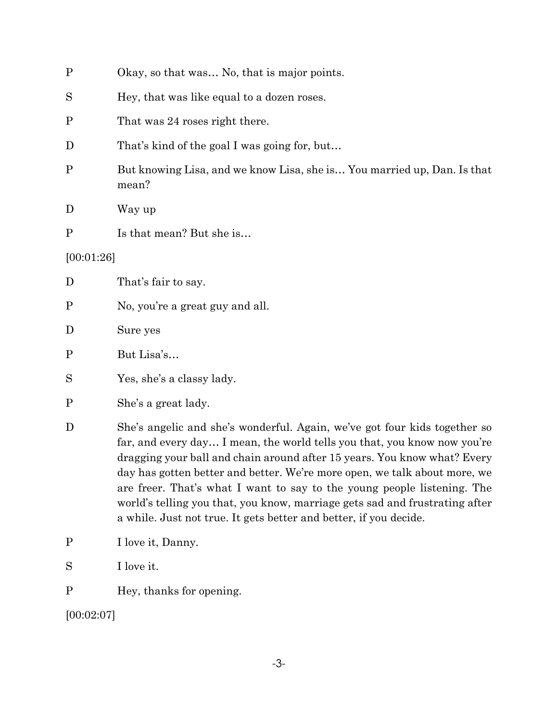| $\mathbf P$  | Okay, so that was No, that is major points.                                      |
|--------------|----------------------------------------------------------------------------------|
| S            | Hey, that was like equal to a dozen roses.                                       |
| $\mathbf P$  | That was 24 roses right there.                                                   |
| D            | That's kind of the goal I was going for, but                                     |
| $\mathbf P$  | But knowing Lisa, and we know Lisa, she is You married up, Dan. Is that<br>mean? |
| D            | Way up                                                                           |
| $\mathbf{P}$ | Is that mean? But she is                                                         |
| [00:01:26]   |                                                                                  |
| D            | That's fair to say.                                                              |
| $\mathbf P$  | No, you're a great guy and all.                                                  |
| $\mathbf D$  | Sure yes                                                                         |
| $\mathbf P$  | But Lisa's                                                                       |
| S            | Yes, she's a classy lady.                                                        |

P She's a great lady.

D She's angelic and she's wonderful. Again, we've got four kids together so far, and every day… I mean, the world tells you that, you know now you're dragging your ball and chain around after 15 years. You know what? Every day has gotten better and better. We're more open, we talk about more, we are freer. That's what I want to say to the young people listening. The world's telling you that, you know, marriage gets sad and frustrating after a while. Just not true. It gets better and better, if you decide.

- P I love it, Danny.
- S I love it.

P Hey, thanks for opening.

[00:02:07]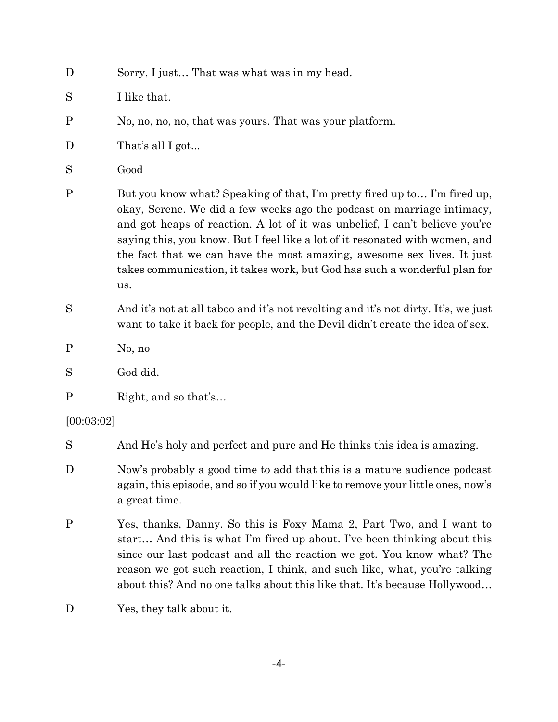| D           | Sorry, I just That was what was in my head.                                                                                                                                                                                                                                                                                                                                                                                                                                      |
|-------------|----------------------------------------------------------------------------------------------------------------------------------------------------------------------------------------------------------------------------------------------------------------------------------------------------------------------------------------------------------------------------------------------------------------------------------------------------------------------------------|
| S           | I like that.                                                                                                                                                                                                                                                                                                                                                                                                                                                                     |
| $\mathbf P$ | No, no, no, no, that was yours. That was your platform.                                                                                                                                                                                                                                                                                                                                                                                                                          |
| D           | That's all I got                                                                                                                                                                                                                                                                                                                                                                                                                                                                 |
| S           | Good                                                                                                                                                                                                                                                                                                                                                                                                                                                                             |
| $\mathbf P$ | But you know what? Speaking of that, I'm pretty fired up to I'm fired up,<br>okay, Serene. We did a few weeks ago the podcast on marriage intimacy,<br>and got heaps of reaction. A lot of it was unbelief, I can't believe you're<br>saying this, you know. But I feel like a lot of it resonated with women, and<br>the fact that we can have the most amazing, awesome sex lives. It just<br>takes communication, it takes work, but God has such a wonderful plan for<br>us. |
| S           | And it's not at all taboo and it's not revolting and it's not dirty. It's, we just<br>want to take it back for people, and the Devil didn't create the idea of sex.                                                                                                                                                                                                                                                                                                              |
| $\mathbf P$ | No, no                                                                                                                                                                                                                                                                                                                                                                                                                                                                           |
| S           | God did.                                                                                                                                                                                                                                                                                                                                                                                                                                                                         |
| $\mathbf P$ | Right, and so that's                                                                                                                                                                                                                                                                                                                                                                                                                                                             |
| [00:03:02]  |                                                                                                                                                                                                                                                                                                                                                                                                                                                                                  |
| S           | And He's holy and perfect and pure and He thinks this idea is amazing.                                                                                                                                                                                                                                                                                                                                                                                                           |
| D           | Now's probably a good time to add that this is a mature audience podcast<br>again, this episode, and so if you would like to remove your little ones, now's<br>a great time.                                                                                                                                                                                                                                                                                                     |
| $\mathbf P$ | Yes, thanks, Danny. So this is Foxy Mama 2, Part Two, and I want to<br>start And this is what I'm fired up about. I've been thinking about this<br>since our last podcast and all the reaction we got. You know what? The<br>reason we got such reaction, I think, and such like, what, you're talking<br>about this? And no one talks about this like that. It's because Hollywood                                                                                              |

D Yes, they talk about it.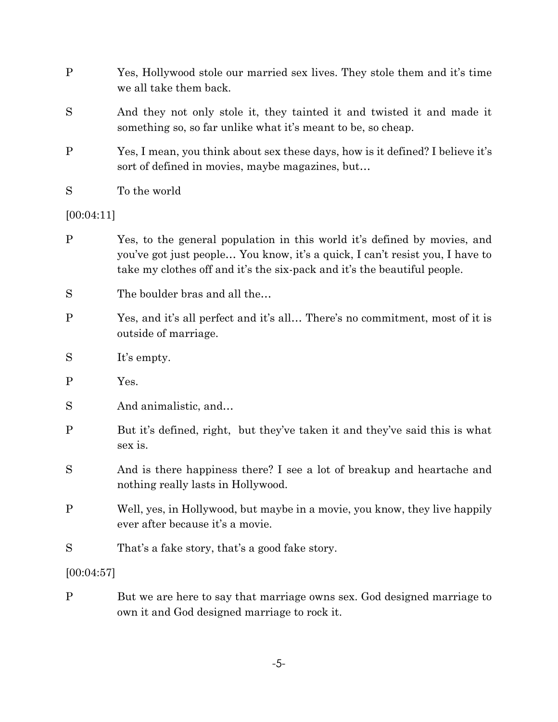| P          | Yes, Hollywood stole our married sex lives. They stole them and it's time<br>we all take them back.                                                                                                                                  |
|------------|--------------------------------------------------------------------------------------------------------------------------------------------------------------------------------------------------------------------------------------|
| S          | And they not only stole it, they tainted it and twisted it and made it<br>something so, so far unlike what it's meant to be, so cheap.                                                                                               |
| P          | Yes, I mean, you think about sex these days, how is it defined? I believe it's<br>sort of defined in movies, maybe magazines, but                                                                                                    |
| S          | To the world                                                                                                                                                                                                                         |
| [00:04:11] |                                                                                                                                                                                                                                      |
| P          | Yes, to the general population in this world it's defined by movies, and<br>you've got just people You know, it's a quick, I can't resist you, I have to<br>take my clothes off and it's the six-pack and it's the beautiful people. |
| S          | The boulder bras and all the                                                                                                                                                                                                         |

- P Yes, and it's all perfect and it's all… There's no commitment, most of it is outside of marriage.
- S It's empty.
- P Yes.
- S And animalistic, and...
- P But it's defined, right, but they've taken it and they've said this is what sex is.
- S And is there happiness there? I see a lot of breakup and heartache and nothing really lasts in Hollywood.
- P Well, yes, in Hollywood, but maybe in a movie, you know, they live happily ever after because it's a movie.
- S That's a fake story, that's a good fake story.

# [00:04:57]

P But we are here to say that marriage owns sex. God designed marriage to own it and God designed marriage to rock it.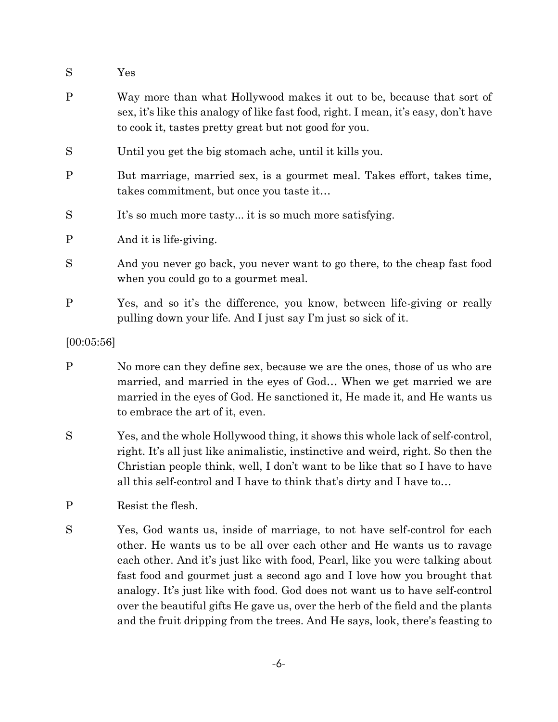- S Yes
- P Way more than what Hollywood makes it out to be, because that sort of sex, it's like this analogy of like fast food, right. I mean, it's easy, don't have to cook it, tastes pretty great but not good for you.
- S Until you get the big stomach ache, until it kills you.
- P But marriage, married sex, is a gourmet meal. Takes effort, takes time, takes commitment, but once you taste it…
- S It's so much more tasty... it is so much more satisfying.

P And it is life-giving.

- S And you never go back, you never want to go there, to the cheap fast food when you could go to a gourmet meal.
- P Yes, and so it's the difference, you know, between life-giving or really pulling down your life. And I just say I'm just so sick of it.

#### [00:05:56]

- P No more can they define sex, because we are the ones, those of us who are married, and married in the eyes of God… When we get married we are married in the eyes of God. He sanctioned it, He made it, and He wants us to embrace the art of it, even.
- S Yes, and the whole Hollywood thing, it shows this whole lack of self-control, right. It's all just like animalistic, instinctive and weird, right. So then the Christian people think, well, I don't want to be like that so I have to have all this self-control and I have to think that's dirty and I have to…
- P Resist the flesh.
- S Yes, God wants us, inside of marriage, to not have self-control for each other. He wants us to be all over each other and He wants us to ravage each other. And it's just like with food, Pearl, like you were talking about fast food and gourmet just a second ago and I love how you brought that analogy. It's just like with food. God does not want us to have self-control over the beautiful gifts He gave us, over the herb of the field and the plants and the fruit dripping from the trees. And He says, look, there's feasting to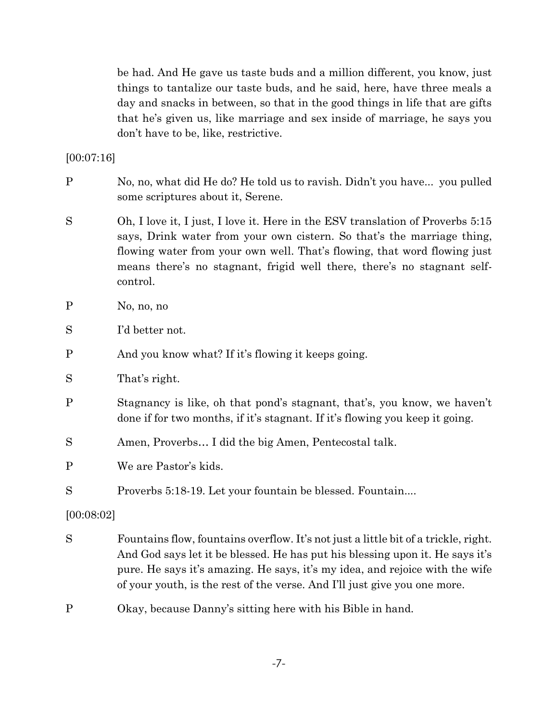be had. And He gave us taste buds and a million different, you know, just things to tantalize our taste buds, and he said, here, have three meals a day and snacks in between, so that in the good things in life that are gifts that he's given us, like marriage and sex inside of marriage, he says you don't have to be, like, restrictive.

[00:07:16]

- P No, no, what did He do? He told us to ravish. Didn't you have... you pulled some scriptures about it, Serene.
- S Oh, I love it, I just, I love it. Here in the ESV translation of Proverbs 5:15 says, Drink water from your own cistern. So that's the marriage thing, flowing water from your own well. That's flowing, that word flowing just means there's no stagnant, frigid well there, there's no stagnant selfcontrol.
- P No, no, no
- S I'd better not.
- P And you know what? If it's flowing it keeps going.
- S That's right.
- P Stagnancy is like, oh that pond's stagnant, that's, you know, we haven't done if for two months, if it's stagnant. If it's flowing you keep it going.
- S Amen, Proverbs… I did the big Amen, Pentecostal talk.
- P We are Pastor's kids.
- S Proverbs 5:18-19. Let your fountain be blessed. Fountain....

[00:08:02]

- S Fountains flow, fountains overflow. It's not just a little bit of a trickle, right. And God says let it be blessed. He has put his blessing upon it. He says it's pure. He says it's amazing. He says, it's my idea, and rejoice with the wife of your youth, is the rest of the verse. And I'll just give you one more.
- P Okay, because Danny's sitting here with his Bible in hand.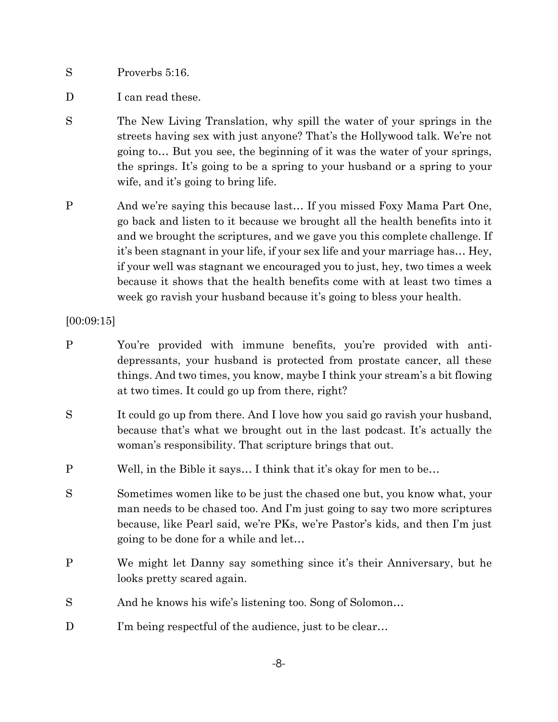S Proverbs 5:16.

- D I can read these.
- S The New Living Translation, why spill the water of your springs in the streets having sex with just anyone? That's the Hollywood talk. We're not going to… But you see, the beginning of it was the water of your springs, the springs. It's going to be a spring to your husband or a spring to your wife, and it's going to bring life.
- P And we're saying this because last… If you missed Foxy Mama Part One, go back and listen to it because we brought all the health benefits into it and we brought the scriptures, and we gave you this complete challenge. If it's been stagnant in your life, if your sex life and your marriage has… Hey, if your well was stagnant we encouraged you to just, hey, two times a week because it shows that the health benefits come with at least two times a week go ravish your husband because it's going to bless your health.

### [00:09:15]

- P You're provided with immune benefits, you're provided with antidepressants, your husband is protected from prostate cancer, all these things. And two times, you know, maybe I think your stream's a bit flowing at two times. It could go up from there, right?
- S It could go up from there. And I love how you said go ravish your husband, because that's what we brought out in the last podcast. It's actually the woman's responsibility. That scripture brings that out.
- P Well, in the Bible it says… I think that it's okay for men to be…
- S Sometimes women like to be just the chased one but, you know what, your man needs to be chased too. And I'm just going to say two more scriptures because, like Pearl said, we're PKs, we're Pastor's kids, and then I'm just going to be done for a while and let…
- P We might let Danny say something since it's their Anniversary, but he looks pretty scared again.
- S And he knows his wife's listening too. Song of Solomon...
- D I'm being respectful of the audience, just to be clear...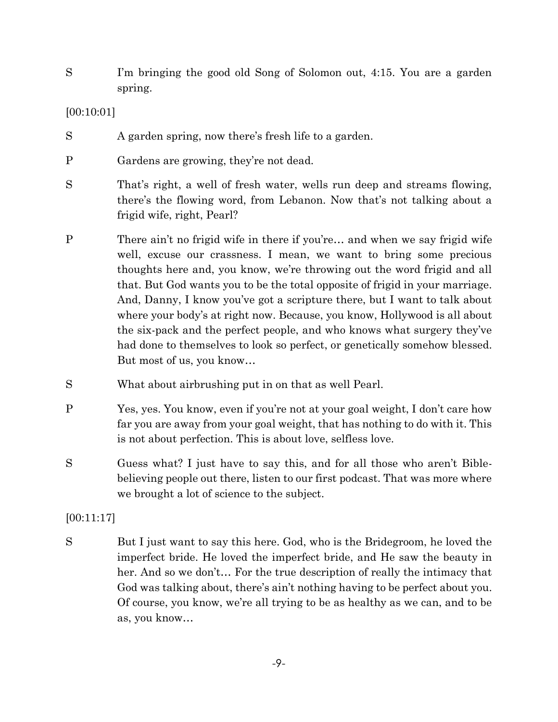S I'm bringing the good old Song of Solomon out, 4:15. You are a garden spring.

### [00:10:01]

- S A garden spring, now there's fresh life to a garden.
- P Gardens are growing, they're not dead.
- S That's right, a well of fresh water, wells run deep and streams flowing, there's the flowing word, from Lebanon. Now that's not talking about a frigid wife, right, Pearl?
- P There ain't no frigid wife in there if you're... and when we say frigid wife well, excuse our crassness. I mean, we want to bring some precious thoughts here and, you know, we're throwing out the word frigid and all that. But God wants you to be the total opposite of frigid in your marriage. And, Danny, I know you've got a scripture there, but I want to talk about where your body's at right now. Because, you know, Hollywood is all about the six-pack and the perfect people, and who knows what surgery they've had done to themselves to look so perfect, or genetically somehow blessed. But most of us, you know…
- S What about airbrushing put in on that as well Pearl.
- P Yes, yes. You know, even if you're not at your goal weight, I don't care how far you are away from your goal weight, that has nothing to do with it. This is not about perfection. This is about love, selfless love.
- S Guess what? I just have to say this, and for all those who aren't Biblebelieving people out there, listen to our first podcast. That was more where we brought a lot of science to the subject.

# [00:11:17]

S But I just want to say this here. God, who is the Bridegroom, he loved the imperfect bride. He loved the imperfect bride, and He saw the beauty in her. And so we don't… For the true description of really the intimacy that God was talking about, there's ain't nothing having to be perfect about you. Of course, you know, we're all trying to be as healthy as we can, and to be as, you know…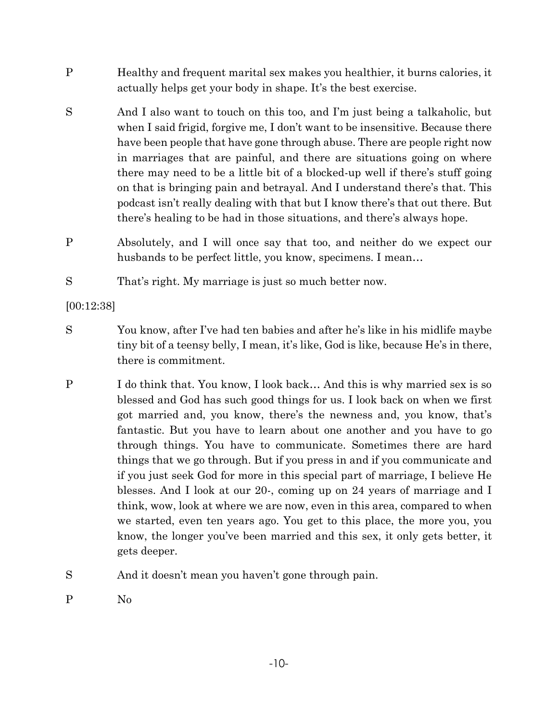- P Healthy and frequent marital sex makes you healthier, it burns calories, it actually helps get your body in shape. It's the best exercise.
- S And I also want to touch on this too, and I'm just being a talkaholic, but when I said frigid, forgive me, I don't want to be insensitive. Because there have been people that have gone through abuse. There are people right now in marriages that are painful, and there are situations going on where there may need to be a little bit of a blocked-up well if there's stuff going on that is bringing pain and betrayal. And I understand there's that. This podcast isn't really dealing with that but I know there's that out there. But there's healing to be had in those situations, and there's always hope.
- P Absolutely, and I will once say that too, and neither do we expect our husbands to be perfect little, you know, specimens. I mean...
- S That's right. My marriage is just so much better now.

[00:12:38]

- S You know, after I've had ten babies and after he's like in his midlife maybe tiny bit of a teensy belly, I mean, it's like, God is like, because He's in there, there is commitment.
- P I do think that. You know, I look back… And this is why married sex is so blessed and God has such good things for us. I look back on when we first got married and, you know, there's the newness and, you know, that's fantastic. But you have to learn about one another and you have to go through things. You have to communicate. Sometimes there are hard things that we go through. But if you press in and if you communicate and if you just seek God for more in this special part of marriage, I believe He blesses. And I look at our 20-, coming up on 24 years of marriage and I think, wow, look at where we are now, even in this area, compared to when we started, even ten years ago. You get to this place, the more you, you know, the longer you've been married and this sex, it only gets better, it gets deeper.
- S And it doesn't mean you haven't gone through pain.
- P No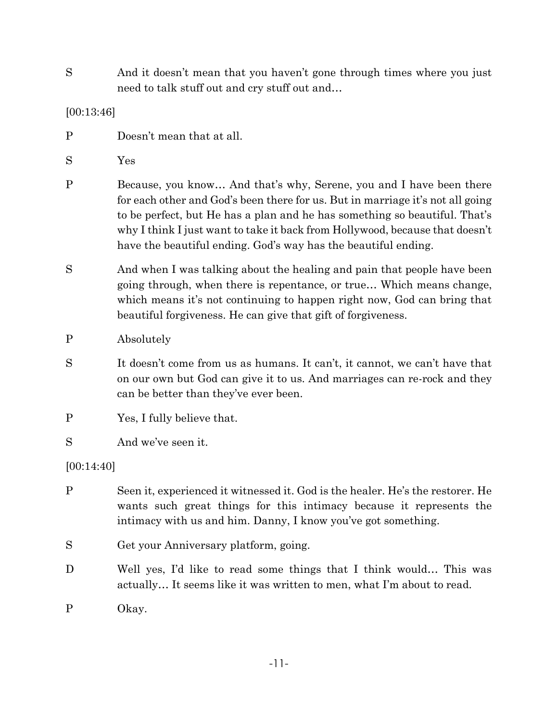S And it doesn't mean that you haven't gone through times where you just need to talk stuff out and cry stuff out and…

#### [00:13:46]

- P Doesn't mean that at all.
- S Yes
- P Because, you know... And that's why, Serene, you and I have been there for each other and God's been there for us. But in marriage it's not all going to be perfect, but He has a plan and he has something so beautiful. That's why I think I just want to take it back from Hollywood, because that doesn't have the beautiful ending. God's way has the beautiful ending.
- S And when I was talking about the healing and pain that people have been going through, when there is repentance, or true… Which means change, which means it's not continuing to happen right now, God can bring that beautiful forgiveness. He can give that gift of forgiveness.
- P Absolutely
- S It doesn't come from us as humans. It can't, it cannot, we can't have that on our own but God can give it to us. And marriages can re-rock and they can be better than they've ever been.
- P Yes, I fully believe that.
- S And we've seen it.

[00:14:40]

- P Seen it, experienced it witnessed it. God is the healer. He's the restorer. He wants such great things for this intimacy because it represents the intimacy with us and him. Danny, I know you've got something.
- S Get your Anniversary platform, going.
- D Well yes, I'd like to read some things that I think would... This was actually… It seems like it was written to men, what I'm about to read.
- P Okay.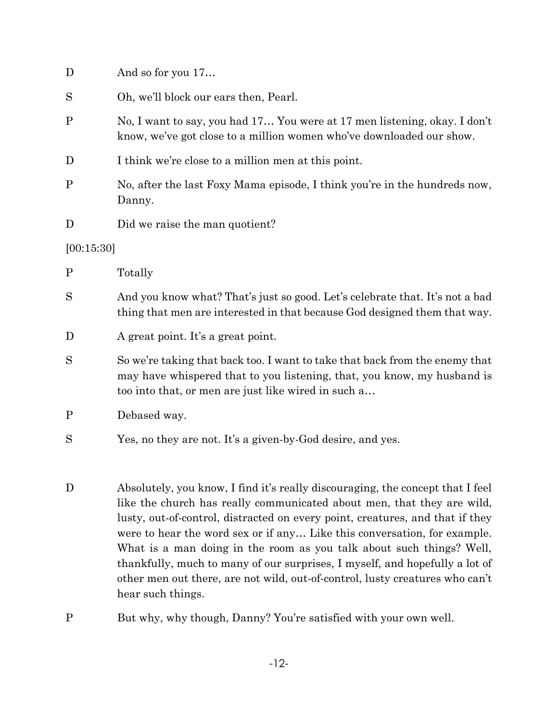| D            | And so for you 17                                                                                                                                                                                                                                                                                                                                                                                                                                                                                                                                            |
|--------------|--------------------------------------------------------------------------------------------------------------------------------------------------------------------------------------------------------------------------------------------------------------------------------------------------------------------------------------------------------------------------------------------------------------------------------------------------------------------------------------------------------------------------------------------------------------|
| S            | Oh, we'll block our ears then, Pearl.                                                                                                                                                                                                                                                                                                                                                                                                                                                                                                                        |
| $\mathbf P$  | No, I want to say, you had 17 You were at 17 men listening, okay. I don't<br>know, we've got close to a million women who've downloaded our show.                                                                                                                                                                                                                                                                                                                                                                                                            |
| D            | I think we're close to a million men at this point.                                                                                                                                                                                                                                                                                                                                                                                                                                                                                                          |
| $\mathbf P$  | No, after the last Foxy Mama episode, I think you're in the hundreds now,<br>Danny.                                                                                                                                                                                                                                                                                                                                                                                                                                                                          |
| D            | Did we raise the man quotient?                                                                                                                                                                                                                                                                                                                                                                                                                                                                                                                               |
| [00:15:30]   |                                                                                                                                                                                                                                                                                                                                                                                                                                                                                                                                                              |
| $\mathbf{P}$ | Totally                                                                                                                                                                                                                                                                                                                                                                                                                                                                                                                                                      |
| S            | And you know what? That's just so good. Let's celebrate that. It's not a bad<br>thing that men are interested in that because God designed them that way.                                                                                                                                                                                                                                                                                                                                                                                                    |
| D            | A great point. It's a great point.                                                                                                                                                                                                                                                                                                                                                                                                                                                                                                                           |
| S            | So we're taking that back too. I want to take that back from the enemy that<br>may have whispered that to you listening, that, you know, my husband is<br>too into that, or men are just like wired in such a                                                                                                                                                                                                                                                                                                                                                |
| $\mathbf P$  | Debased way.                                                                                                                                                                                                                                                                                                                                                                                                                                                                                                                                                 |
| S            | Yes, no they are not. It's a given-by-God desire, and yes.                                                                                                                                                                                                                                                                                                                                                                                                                                                                                                   |
| D            | Absolutely, you know, I find it's really discouraging, the concept that I feel<br>like the church has really communicated about men, that they are wild,<br>lusty, out-of-control, distracted on every point, creatures, and that if they<br>were to hear the word sex or if any Like this conversation, for example.<br>What is a man doing in the room as you talk about such things? Well,<br>thankfully, much to many of our surprises, I myself, and hopefully a lot of<br>other men out there, are not wild, out-of-control, lusty creatures who can't |

P But why, why though, Danny? You're satisfied with your own well.

hear such things.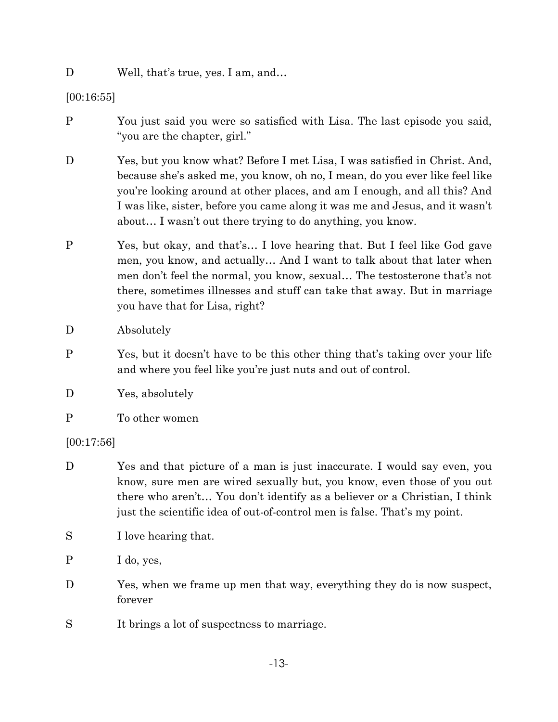#### D Well, that's true, yes. I am, and...

[00:16:55]

- P You just said you were so satisfied with Lisa. The last episode you said, "you are the chapter, girl."
- D Yes, but you know what? Before I met Lisa, I was satisfied in Christ. And, because she's asked me, you know, oh no, I mean, do you ever like feel like you're looking around at other places, and am I enough, and all this? And I was like, sister, before you came along it was me and Jesus, and it wasn't about… I wasn't out there trying to do anything, you know.
- P Yes, but okay, and that's… I love hearing that. But I feel like God gave men, you know, and actually… And I want to talk about that later when men don't feel the normal, you know, sexual… The testosterone that's not there, sometimes illnesses and stuff can take that away. But in marriage you have that for Lisa, right?

D Absolutely

- P Yes, but it doesn't have to be this other thing that's taking over your life and where you feel like you're just nuts and out of control.
- D Yes, absolutely
- P To other women

[00:17:56]

- D Yes and that picture of a man is just inaccurate. I would say even, you know, sure men are wired sexually but, you know, even those of you out there who aren't… You don't identify as a believer or a Christian, I think just the scientific idea of out-of-control men is false. That's my point.
- S I love hearing that.

P I do, yes,

- D Yes, when we frame up men that way, everything they do is now suspect, forever
- S It brings a lot of suspectness to marriage.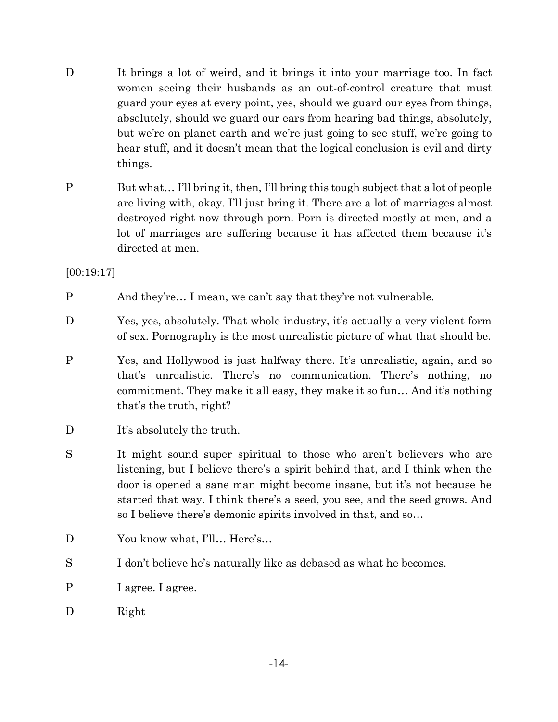- D It brings a lot of weird, and it brings it into your marriage too. In fact women seeing their husbands as an out-of-control creature that must guard your eyes at every point, yes, should we guard our eyes from things, absolutely, should we guard our ears from hearing bad things, absolutely, but we're on planet earth and we're just going to see stuff, we're going to hear stuff, and it doesn't mean that the logical conclusion is evil and dirty things.
- P But what… I'll bring it, then, I'll bring this tough subject that a lot of people are living with, okay. I'll just bring it. There are a lot of marriages almost destroyed right now through porn. Porn is directed mostly at men, and a lot of marriages are suffering because it has affected them because it's directed at men.

[00:19:17]

- P And they're… I mean, we can't say that they're not vulnerable.
- D Yes, yes, absolutely. That whole industry, it's actually a very violent form of sex. Pornography is the most unrealistic picture of what that should be.
- P Yes, and Hollywood is just halfway there. It's unrealistic, again, and so that's unrealistic. There's no communication. There's nothing, no commitment. They make it all easy, they make it so fun… And it's nothing that's the truth, right?
- D It's absolutely the truth.
- S It might sound super spiritual to those who aren't believers who are listening, but I believe there's a spirit behind that, and I think when the door is opened a sane man might become insane, but it's not because he started that way. I think there's a seed, you see, and the seed grows. And so I believe there's demonic spirits involved in that, and so…
- D You know what, I'll... Here's...
- S I don't believe he's naturally like as debased as what he becomes.
- P I agree. I agree.
- D Right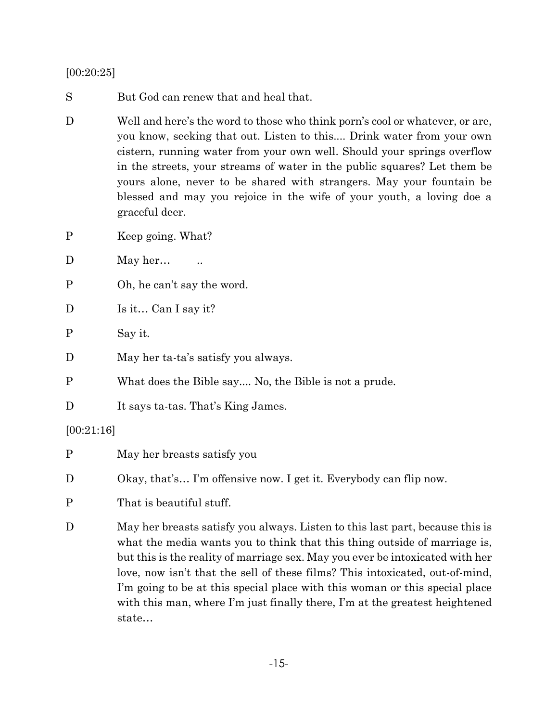[00:20:25]

S But God can renew that and heal that.

- D Well and here's the word to those who think porn's cool or whatever, or are, you know, seeking that out. Listen to this.... Drink water from your own cistern, running water from your own well. Should your springs overflow in the streets, your streams of water in the public squares? Let them be yours alone, never to be shared with strangers. May your fountain be blessed and may you rejoice in the wife of your youth, a loving doe a graceful deer.
- P Keep going. What?
- D May her… ...
- P Oh, he can't say the word.
- D Is it... Can I say it?
- P Say it.
- D May her ta-ta's satisfy you always.
- P What does the Bible say.... No, the Bible is not a prude.
- D It says ta-tas. That's King James.

#### [00:21:16]

- P May her breasts satisfy you
- D Okay, that's... I'm offensive now. I get it. Everybody can flip now.
- P That is beautiful stuff.
- D May her breasts satisfy you always. Listen to this last part, because this is what the media wants you to think that this thing outside of marriage is, but this is the reality of marriage sex. May you ever be intoxicated with her love, now isn't that the sell of these films? This intoxicated, out-of-mind, I'm going to be at this special place with this woman or this special place with this man, where I'm just finally there, I'm at the greatest heightened state…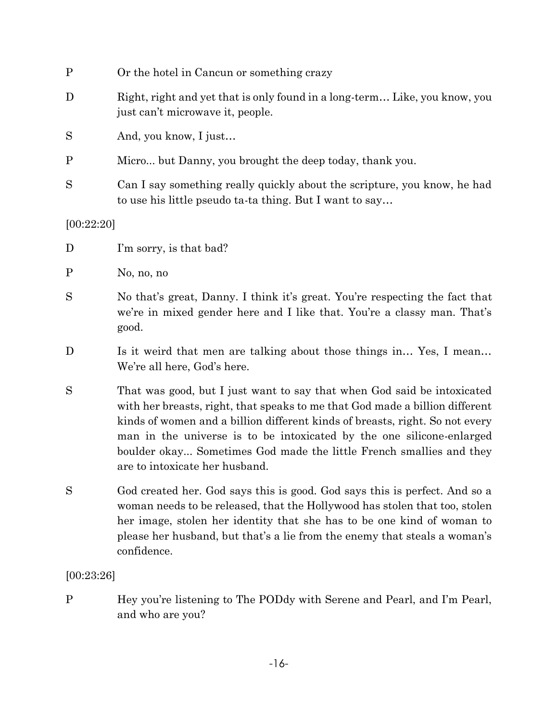| $\mathbf P$ | Or the hotel in Cancun or something crazy                                                                                                                                                                                                                                                                                                                                                                                |
|-------------|--------------------------------------------------------------------------------------------------------------------------------------------------------------------------------------------------------------------------------------------------------------------------------------------------------------------------------------------------------------------------------------------------------------------------|
| D           | Right, right and yet that is only found in a long-term Like, you know, you<br>just can't microwave it, people.                                                                                                                                                                                                                                                                                                           |
| S           | And, you know, I just                                                                                                                                                                                                                                                                                                                                                                                                    |
| $\mathbf P$ | Micro but Danny, you brought the deep today, thank you.                                                                                                                                                                                                                                                                                                                                                                  |
| S           | Can I say something really quickly about the scripture, you know, he had<br>to use his little pseudo ta-ta thing. But I want to say                                                                                                                                                                                                                                                                                      |
| [00:22:20]  |                                                                                                                                                                                                                                                                                                                                                                                                                          |
| D           | I'm sorry, is that bad?                                                                                                                                                                                                                                                                                                                                                                                                  |
| $\mathbf P$ | No, no, no                                                                                                                                                                                                                                                                                                                                                                                                               |
| S           | No that's great, Danny. I think it's great. You're respecting the fact that<br>we're in mixed gender here and I like that. You're a classy man. That's<br>good.                                                                                                                                                                                                                                                          |
| D           | Is it weird that men are talking about those things in Yes, I mean<br>We're all here, God's here.                                                                                                                                                                                                                                                                                                                        |
| S           | That was good, but I just want to say that when God said be intoxicated<br>with her breasts, right, that speaks to me that God made a billion different<br>kinds of women and a billion different kinds of breasts, right. So not every<br>man in the universe is to be intoxicated by the one silicone-enlarged<br>boulder okay Sometimes God made the little French smallies and they<br>are to intoxicate her husband |
| S           | God created her. God says this is good. God says this is perfect. And so a<br>woman needs to be released, that the Hollywood has stolen that too, stolen<br>her image, stolen her identity that she has to be one kind of woman to<br>please her husband, but that's a lie from the enemy that steals a woman's<br>confidence.                                                                                           |
| [00:23:26]  |                                                                                                                                                                                                                                                                                                                                                                                                                          |

P Hey you're listening to The PODdy with Serene and Pearl, and I'm Pearl, and who are you?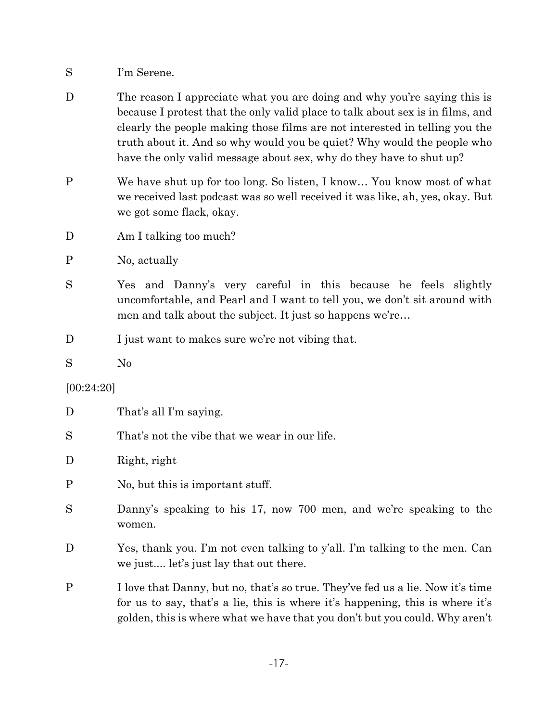- S I'm Serene.
- D The reason I appreciate what you are doing and why you're saying this is because I protest that the only valid place to talk about sex is in films, and clearly the people making those films are not interested in telling you the truth about it. And so why would you be quiet? Why would the people who have the only valid message about sex, why do they have to shut up?
- P We have shut up for too long. So listen, I know… You know most of what we received last podcast was so well received it was like, ah, yes, okay. But we got some flack, okay.
- D Am I talking too much?
- P No, actually
- S Yes and Danny's very careful in this because he feels slightly uncomfortable, and Pearl and I want to tell you, we don't sit around with men and talk about the subject. It just so happens we're…
- D I just want to makes sure we're not vibing that.

S No

#### [00:24:20]

- D That's all I'm saying.
- S That's not the vibe that we wear in our life.

### D Right, right

- P No, but this is important stuff.
- S Danny's speaking to his 17, now 700 men, and we're speaking to the women.
- D Yes, thank you. I'm not even talking to y'all. I'm talking to the men. Can we just.... let's just lay that out there.
- P I love that Danny, but no, that's so true. They've fed us a lie. Now it's time for us to say, that's a lie, this is where it's happening, this is where it's golden, this is where what we have that you don't but you could. Why aren't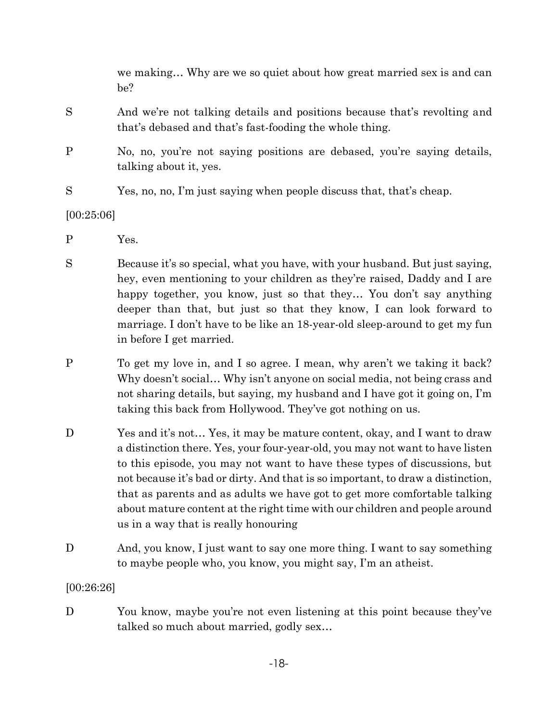we making… Why are we so quiet about how great married sex is and can be?

- S And we're not talking details and positions because that's revolting and that's debased and that's fast-fooding the whole thing.
- P No, no, you're not saying positions are debased, you're saying details, talking about it, yes.
- S Yes, no, no, I'm just saying when people discuss that, that's cheap.

# [00:25:06]

- P Yes.
- S Because it's so special, what you have, with your husband. But just saying, hey, even mentioning to your children as they're raised, Daddy and I are happy together, you know, just so that they... You don't say anything deeper than that, but just so that they know, I can look forward to marriage. I don't have to be like an 18-year-old sleep-around to get my fun in before I get married.
- P To get my love in, and I so agree. I mean, why aren't we taking it back? Why doesn't social… Why isn't anyone on social media, not being crass and not sharing details, but saying, my husband and I have got it going on, I'm taking this back from Hollywood. They've got nothing on us.
- D Yes and it's not... Yes, it may be mature content, okay, and I want to draw a distinction there. Yes, your four-year-old, you may not want to have listen to this episode, you may not want to have these types of discussions, but not because it's bad or dirty. And that is so important, to draw a distinction, that as parents and as adults we have got to get more comfortable talking about mature content at the right time with our children and people around us in a way that is really honouring
- D And, you know, I just want to say one more thing. I want to say something to maybe people who, you know, you might say, I'm an atheist.

# [00:26:26]

D You know, may be you're not even listening at this point because they've talked so much about married, godly sex…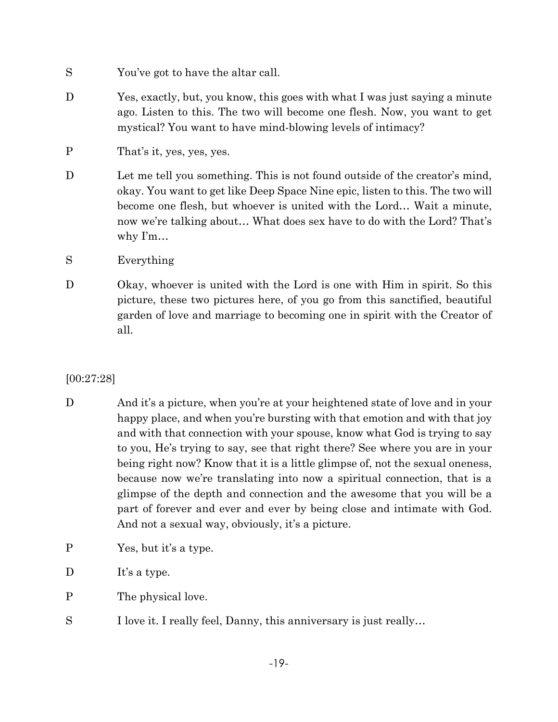- S You've got to have the altar call.
- D Yes, exactly, but, you know, this goes with what I was just saying a minute ago. Listen to this. The two will become one flesh. Now, you want to get mystical? You want to have mind-blowing levels of intimacy?
- P That's it, yes, yes, yes.
- D Let me tell you something. This is not found outside of the creator's mind, okay. You want to get like Deep Space Nine epic, listen to this. The two will become one flesh, but whoever is united with the Lord… Wait a minute, now we're talking about… What does sex have to do with the Lord? That's why I'm…
- S Everything
- D Okay, whoever is united with the Lord is one with Him in spirit. So this picture, these two pictures here, of you go from this sanctified, beautiful garden of love and marriage to becoming one in spirit with the Creator of all.

### [00:27:28]

- D And it's a picture, when you're at your heightened state of love and in your happy place, and when you're bursting with that emotion and with that joy and with that connection with your spouse, know what God is trying to say to you, He's trying to say, see that right there? See where you are in your being right now? Know that it is a little glimpse of, not the sexual oneness, because now we're translating into now a spiritual connection, that is a glimpse of the depth and connection and the awesome that you will be a part of forever and ever and ever by being close and intimate with God. And not a sexual way, obviously, it's a picture.
- P Yes, but it's a type.
- D It's a type.
- P The physical love.
- S I love it. I really feel, Danny, this anniversary is just really...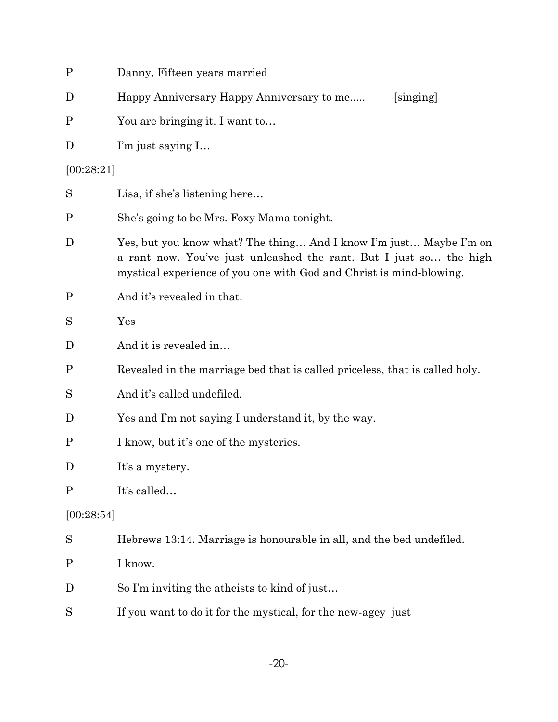| $\mathbf P$  | Danny, Fifteen years married                                                                                                                                                                                    |  |
|--------------|-----------------------------------------------------------------------------------------------------------------------------------------------------------------------------------------------------------------|--|
| D            | Happy Anniversary Happy Anniversary to me<br>[singing]                                                                                                                                                          |  |
| $\mathbf P$  | You are bringing it. I want to                                                                                                                                                                                  |  |
| D            | I'm just saying I                                                                                                                                                                                               |  |
| [00:28:21]   |                                                                                                                                                                                                                 |  |
| S            | Lisa, if she's listening here                                                                                                                                                                                   |  |
| $\mathbf P$  | She's going to be Mrs. Foxy Mama tonight.                                                                                                                                                                       |  |
| D            | Yes, but you know what? The thing And I know I'm just Maybe I'm on<br>a rant now. You've just unleashed the rant. But I just so the high<br>mystical experience of you one with God and Christ is mind-blowing. |  |
| $\mathbf P$  | And it's revealed in that.                                                                                                                                                                                      |  |
| S            | Yes                                                                                                                                                                                                             |  |
| D            | And it is revealed in                                                                                                                                                                                           |  |
| $\mathbf{P}$ | Revealed in the marriage bed that is called priceless, that is called holy.                                                                                                                                     |  |
| S            | And it's called undefiled.                                                                                                                                                                                      |  |
| D            | Yes and I'm not saying I understand it, by the way.                                                                                                                                                             |  |
| $\mathbf P$  | I know, but it's one of the mysteries.                                                                                                                                                                          |  |
| D            | It's a mystery.                                                                                                                                                                                                 |  |
| $\mathbf P$  | It's called                                                                                                                                                                                                     |  |
|              | [00:28:54]                                                                                                                                                                                                      |  |
| S            | Hebrews 13:14. Marriage is honourable in all, and the bed undefiled.                                                                                                                                            |  |
| $\mathbf P$  | I know.                                                                                                                                                                                                         |  |
| D            | So I'm inviting the atheists to kind of just                                                                                                                                                                    |  |
| S            | If you want to do it for the mystical, for the new-agey just                                                                                                                                                    |  |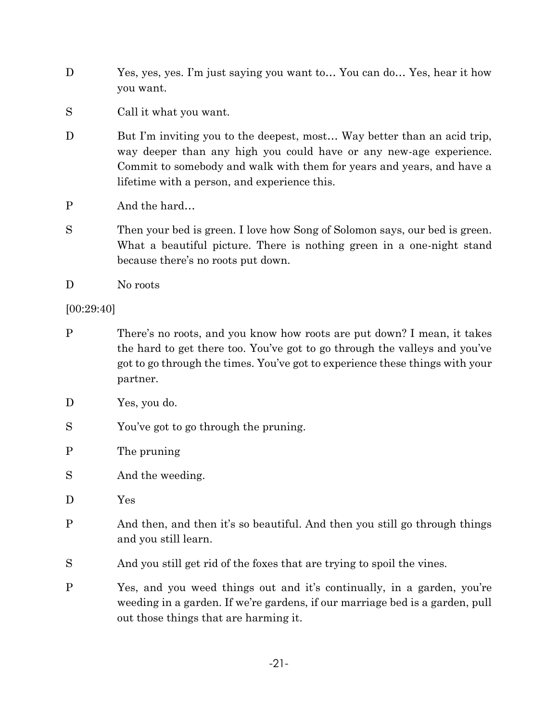- D Yes, yes, yes. I'm just saying you want to… You can do… Yes, hear it how you want.
- S Call it what you want.
- D But I'm inviting you to the deepest, most... Way better than an acid trip, way deeper than any high you could have or any new-age experience. Commit to somebody and walk with them for years and years, and have a lifetime with a person, and experience this.
- P And the hard...
- S Then your bed is green. I love how Song of Solomon says, our bed is green. What a beautiful picture. There is nothing green in a one-night stand because there's no roots put down.
- D No roots

## [00:29:40]

- P There's no roots, and you know how roots are put down? I mean, it takes the hard to get there too. You've got to go through the valleys and you've got to go through the times. You've got to experience these things with your partner.
- D Yes, you do.
- S You've got to go through the pruning.
- P The pruning
- S And the weeding.
- D Yes
- P And then, and then it's so beautiful. And then you still go through things and you still learn.
- S And you still get rid of the foxes that are trying to spoil the vines.
- P Yes, and you weed things out and it's continually, in a garden, you're weeding in a garden. If we're gardens, if our marriage bed is a garden, pull out those things that are harming it.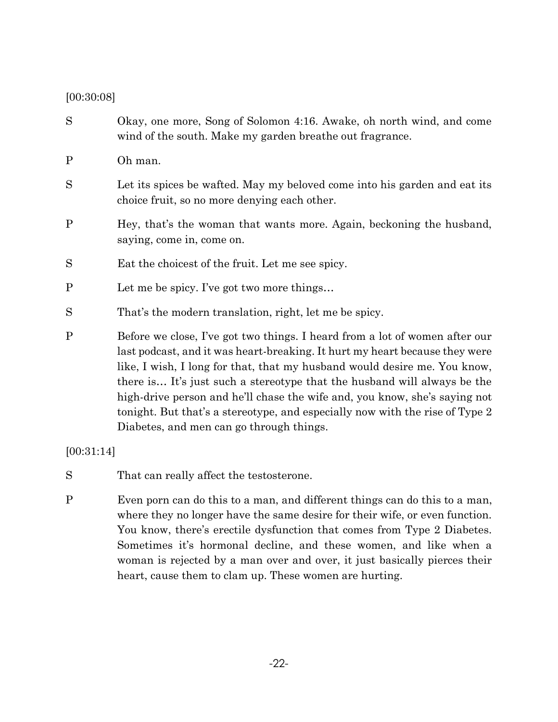#### [00:30:08]

- S Okay, one more, Song of Solomon 4:16. Awake, oh north wind, and come wind of the south. Make my garden breathe out fragrance.
- P Oh man.
- S Let its spices be wafted. May my beloved come into his garden and eat its choice fruit, so no more denying each other.
- P Hey, that's the woman that wants more. Again, beckoning the husband, saying, come in, come on.
- S Eat the choicest of the fruit. Let me see spicy.
- P Let me be spicy. I've got two more things…
- S That's the modern translation, right, let me be spicy.
- P Before we close, I've got two things. I heard from a lot of women after our last podcast, and it was heart-breaking. It hurt my heart because they were like, I wish, I long for that, that my husband would desire me. You know, there is… It's just such a stereotype that the husband will always be the high-drive person and he'll chase the wife and, you know, she's saying not tonight. But that's a stereotype, and especially now with the rise of Type 2 Diabetes, and men can go through things.

[00:31:14]

- S That can really affect the testosterone.
- P Even porn can do this to a man, and different things can do this to a man, where they no longer have the same desire for their wife, or even function. You know, there's erectile dysfunction that comes from Type 2 Diabetes. Sometimes it's hormonal decline, and these women, and like when a woman is rejected by a man over and over, it just basically pierces their heart, cause them to clam up. These women are hurting.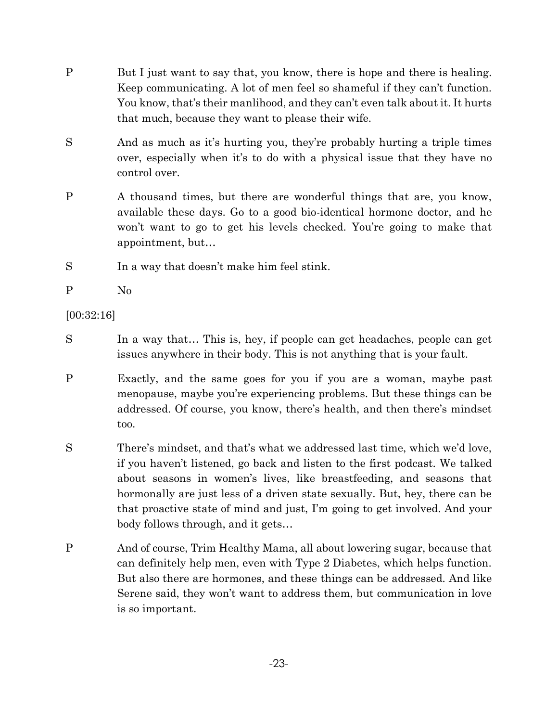- P But I just want to say that, you know, there is hope and there is healing. Keep communicating. A lot of men feel so shameful if they can't function. You know, that's their manlihood, and they can't even talk about it. It hurts that much, because they want to please their wife.
- S And as much as it's hurting you, they're probably hurting a triple times over, especially when it's to do with a physical issue that they have no control over.
- P A thousand times, but there are wonderful things that are, you know, available these days. Go to a good bio-identical hormone doctor, and he won't want to go to get his levels checked. You're going to make that appointment, but…
- S In a way that doesn't make him feel stink.

P No

[00:32:16]

- S In a way that… This is, hey, if people can get headaches, people can get issues anywhere in their body. This is not anything that is your fault.
- P Exactly, and the same goes for you if you are a woman, maybe past menopause, maybe you're experiencing problems. But these things can be addressed. Of course, you know, there's health, and then there's mindset too.
- S There's mindset, and that's what we addressed last time, which we'd love, if you haven't listened, go back and listen to the first podcast. We talked about seasons in women's lives, like breastfeeding, and seasons that hormonally are just less of a driven state sexually. But, hey, there can be that proactive state of mind and just, I'm going to get involved. And your body follows through, and it gets…
- P And of course, Trim Healthy Mama, all about lowering sugar, because that can definitely help men, even with Type 2 Diabetes, which helps function. But also there are hormones, and these things can be addressed. And like Serene said, they won't want to address them, but communication in love is so important.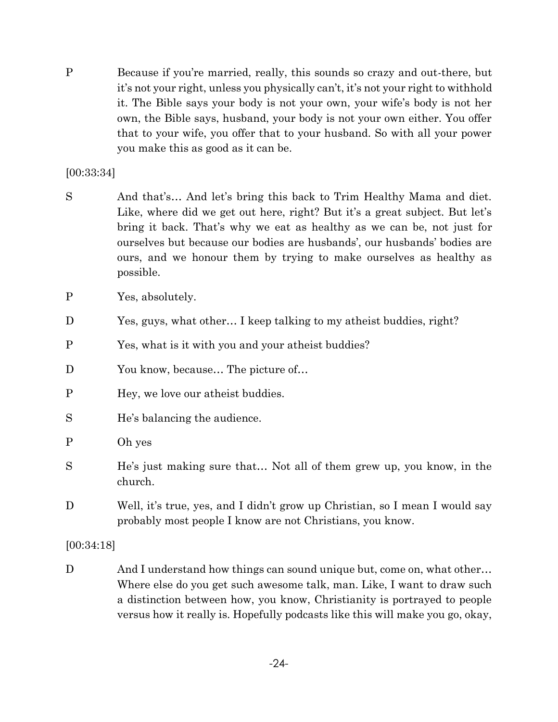P Because if you're married, really, this sounds so crazy and out-there, but it's not your right, unless you physically can't, it's not your right to withhold it. The Bible says your body is not your own, your wife's body is not her own, the Bible says, husband, your body is not your own either. You offer that to your wife, you offer that to your husband. So with all your power you make this as good as it can be.

#### [00:33:34]

- S And that's... And let's bring this back to Trim Healthy Mama and diet. Like, where did we get out here, right? But it's a great subject. But let's bring it back. That's why we eat as healthy as we can be, not just for ourselves but because our bodies are husbands', our husbands' bodies are ours, and we honour them by trying to make ourselves as healthy as possible.
- P Yes, absolutely.
- D Yes, guys, what other… I keep talking to my atheist buddies, right?
- P Yes, what is it with you and your atheist buddies?
- D You know, because... The picture of...
- P Hey, we love our atheist buddies.
- S He's balancing the audience.
- P Oh yes
- S He's just making sure that… Not all of them grew up, you know, in the church.
- D Well, it's true, yes, and I didn't grow up Christian, so I mean I would say probably most people I know are not Christians, you know.

[00:34:18]

D And I understand how things can sound unique but, come on, what other... Where else do you get such awesome talk, man. Like, I want to draw such a distinction between how, you know, Christianity is portrayed to people versus how it really is. Hopefully podcasts like this will make you go, okay,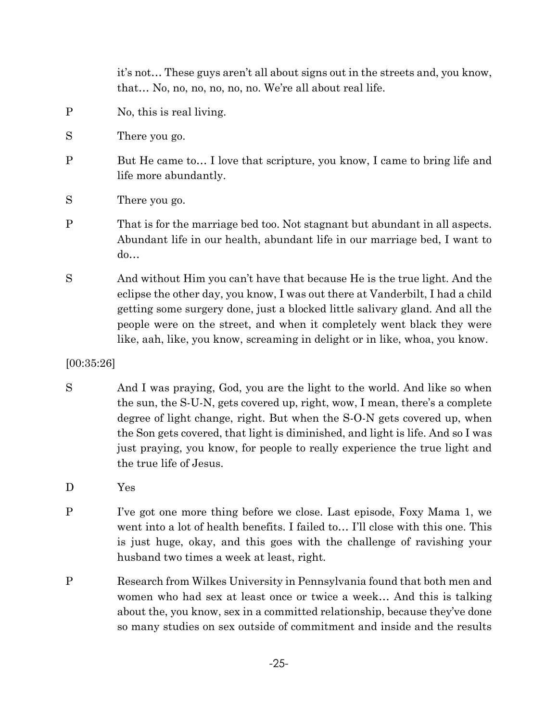it's not… These guys aren't all about signs out in the streets and, you know, that… No, no, no, no, no, no. We're all about real life.

- P No, this is real living.
- S There you go.
- P But He came to... I love that scripture, you know, I came to bring life and life more abundantly.
- S There you go.
- P That is for the marriage bed too. Not stagnant but abundant in all aspects. Abundant life in our health, abundant life in our marriage bed, I want to do…
- S And without Him you can't have that because He is the true light. And the eclipse the other day, you know, I was out there at Vanderbilt, I had a child getting some surgery done, just a blocked little salivary gland. And all the people were on the street, and when it completely went black they were like, aah, like, you know, screaming in delight or in like, whoa, you know.

[00:35:26]

- S And I was praying, God, you are the light to the world. And like so when the sun, the S-U-N, gets covered up, right, wow, I mean, there's a complete degree of light change, right. But when the S-O-N gets covered up, when the Son gets covered, that light is diminished, and light is life. And so I was just praying, you know, for people to really experience the true light and the true life of Jesus.
- D Yes
- P I've got one more thing before we close. Last episode, Foxy Mama 1, we went into a lot of health benefits. I failed to... I'll close with this one. This is just huge, okay, and this goes with the challenge of ravishing your husband two times a week at least, right.
- P Research from Wilkes University in Pennsylvania found that both men and women who had sex at least once or twice a week… And this is talking about the, you know, sex in a committed relationship, because they've done so many studies on sex outside of commitment and inside and the results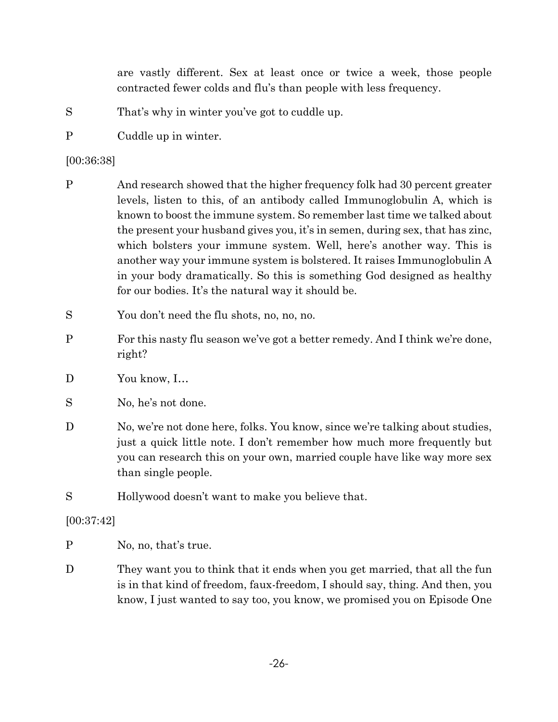are vastly different. Sex at least once or twice a week, those people contracted fewer colds and flu's than people with less frequency.

- S That's why in winter you've got to cuddle up.
- P Cuddle up in winter.

[00:36:38]

- P And research showed that the higher frequency folk had 30 percent greater levels, listen to this, of an antibody called Immunoglobulin A, which is known to boost the immune system. So remember last time we talked about the present your husband gives you, it's in semen, during sex, that has zinc, which bolsters your immune system. Well, here's another way. This is another way your immune system is bolstered. It raises Immunoglobulin A in your body dramatically. So this is something God designed as healthy for our bodies. It's the natural way it should be.
- S You don't need the flu shots, no, no, no.
- P For this nasty flu season we've got a better remedy. And I think we're done, right?
- D You know, I...
- S No, he's not done.
- D No, we're not done here, folks. You know, since we're talking about studies, just a quick little note. I don't remember how much more frequently but you can research this on your own, married couple have like way more sex than single people.
- S Hollywood doesn't want to make you believe that.

[00:37:42]

- P No, no, that's true.
- D They want you to think that it ends when you get married, that all the fun is in that kind of freedom, faux-freedom, I should say, thing. And then, you know, I just wanted to say too, you know, we promised you on Episode One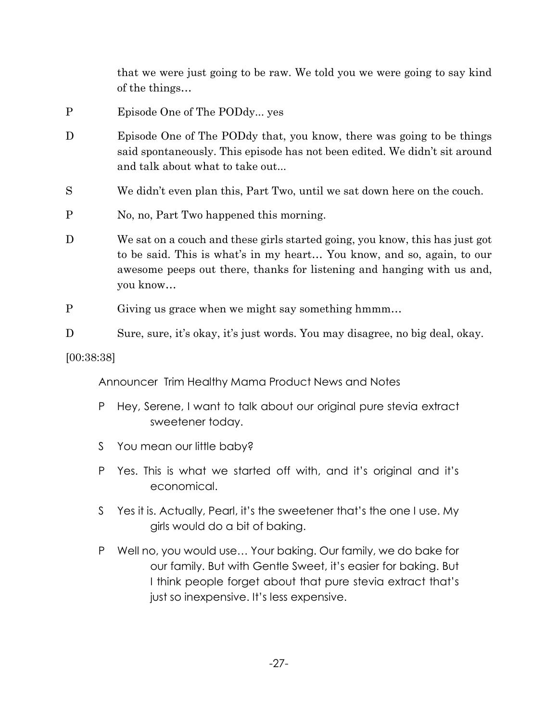that we were just going to be raw. We told you we were going to say kind of the things…

- P Episode One of The PODdy... yes
- D Episode One of The PODdy that, you know, there was going to be things said spontaneously. This episode has not been edited. We didn't sit around and talk about what to take out...
- S We didn't even plan this, Part Two, until we sat down here on the couch.
- P No, no, Part Two happened this morning.
- D We sat on a couch and these girls started going, you know, this has just got to be said. This is what's in my heart… You know, and so, again, to our awesome peeps out there, thanks for listening and hanging with us and, you know…
- P Giving us grace when we might say something hmmm…
- D Sure, sure, it's okay, it's just words. You may disagree, no big deal, okay.

[00:38:38]

Announcer Trim Healthy Mama Product News and Notes

- P Hey, Serene, I want to talk about our original pure stevia extract sweetener today.
- S You mean our little baby?
- P Yes. This is what we started off with, and it's original and it's economical.
- S Yes it is. Actually, Pearl, it's the sweetener that's the one I use. My girls would do a bit of baking.
- P Well no, you would use… Your baking. Our family, we do bake for our family. But with Gentle Sweet, it's easier for baking. But I think people forget about that pure stevia extract that's just so inexpensive. It's less expensive.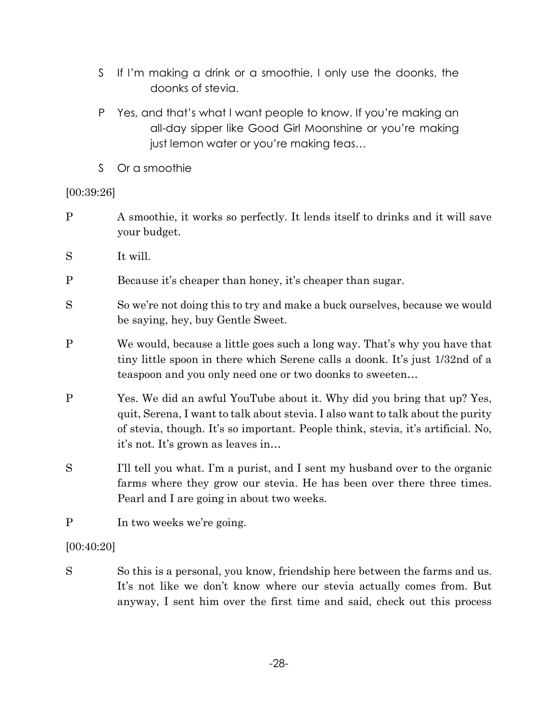- S If I'm making a drink or a smoothie, I only use the doonks, the doonks of stevia.
- P Yes, and that's what I want people to know. If you're making an all-day sipper like Good Girl Moonshine or you're making just lemon water or you're making teas…
- S Or a smoothie

# [00:39:26]

- P A smoothie, it works so perfectly. It lends itself to drinks and it will save your budget.
- S It will.
- P Because it's cheaper than honey, it's cheaper than sugar.
- S So we're not doing this to try and make a buck ourselves, because we would be saying, hey, buy Gentle Sweet.
- P We would, because a little goes such a long way. That's why you have that tiny little spoon in there which Serene calls a doonk. It's just 1/32nd of a teaspoon and you only need one or two doonks to sweeten…
- P Yes. We did an awful YouTube about it. Why did you bring that up? Yes, quit, Serena, I want to talk about stevia. I also want to talk about the purity of stevia, though. It's so important. People think, stevia, it's artificial. No, it's not. It's grown as leaves in…
- S I'll tell you what. I'm a purist, and I sent my husband over to the organic farms where they grow our stevia. He has been over there three times. Pearl and I are going in about two weeks.
- P In two weeks we're going.

[00:40:20]

S So this is a personal, you know, friendship here between the farms and us. It's not like we don't know where our stevia actually comes from. But anyway, I sent him over the first time and said, check out this process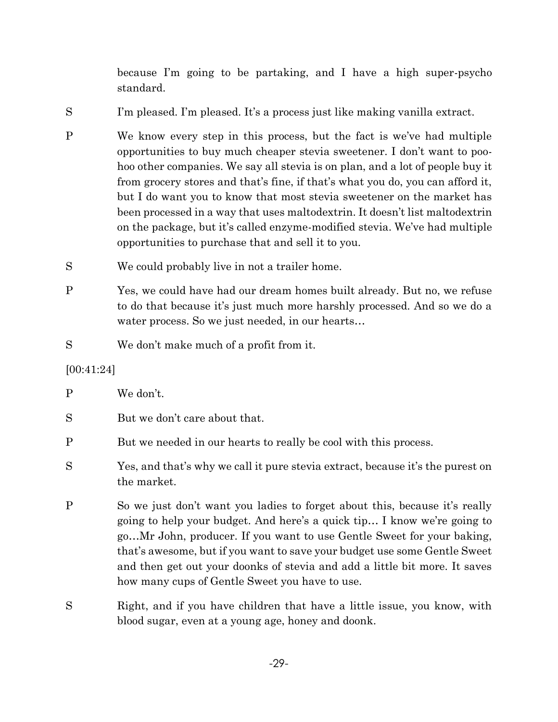because I'm going to be partaking, and I have a high super-psycho standard.

- S I'm pleased. I'm pleased. It's a process just like making vanilla extract.
- P We know every step in this process, but the fact is we've had multiple opportunities to buy much cheaper stevia sweetener. I don't want to poohoo other companies. We say all stevia is on plan, and a lot of people buy it from grocery stores and that's fine, if that's what you do, you can afford it, but I do want you to know that most stevia sweetener on the market has been processed in a way that uses maltodextrin. It doesn't list maltodextrin on the package, but it's called enzyme-modified stevia. We've had multiple opportunities to purchase that and sell it to you.
- S We could probably live in not a trailer home.
- P Yes, we could have had our dream homes built already. But no, we refuse to do that because it's just much more harshly processed. And so we do a water process. So we just needed, in our hearts...
- S We don't make much of a profit from it.

### [00:41:24]

| P | We don't.                                                                                                                                                                                                                                                                                                                                                                                                                                   |
|---|---------------------------------------------------------------------------------------------------------------------------------------------------------------------------------------------------------------------------------------------------------------------------------------------------------------------------------------------------------------------------------------------------------------------------------------------|
| S | But we don't care about that.                                                                                                                                                                                                                                                                                                                                                                                                               |
| Ρ | But we needed in our hearts to really be cool with this process.                                                                                                                                                                                                                                                                                                                                                                            |
| S | Yes, and that's why we call it pure stevia extract, because it's the purest on<br>the market.                                                                                                                                                                                                                                                                                                                                               |
| P | So we just don't want you ladies to forget about this, because it's really<br>going to help your budget. And here's a quick tip I know we're going to<br>goMr John, producer. If you want to use Gentle Sweet for your baking,<br>that's awesome, but if you want to save your budget use some Gentle Sweet<br>and then get out your doonks of stevia and add a little bit more. It saves<br>how many cups of Gentle Sweet you have to use. |
| S | Right, and if you have children that have a little issue, you know, with                                                                                                                                                                                                                                                                                                                                                                    |

blood sugar, even at a young age, honey and doonk.